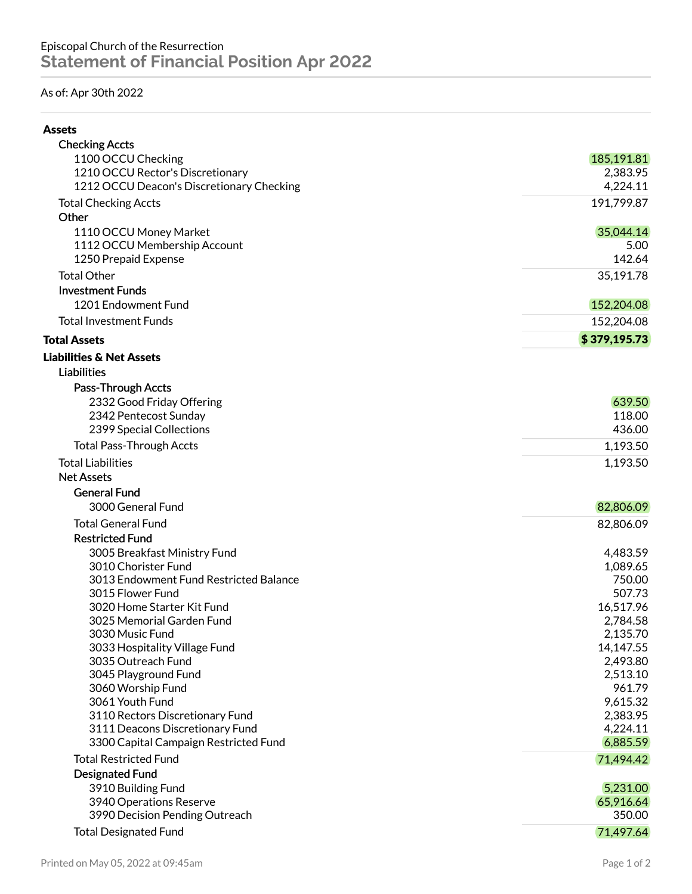## As of: Apr 30th 2022

| <b>Checking Accts</b>                     |              |
|-------------------------------------------|--------------|
| 1100 OCCU Checking                        | 185,191.81   |
| 1210 OCCU Rector's Discretionary          | 2,383.95     |
| 1212 OCCU Deacon's Discretionary Checking | 4,224.11     |
| <b>Total Checking Accts</b>               | 191,799.87   |
| Other                                     |              |
| 1110 OCCU Money Market                    | 35,044.14    |
| 1112 OCCU Membership Account              | 5.00         |
| 1250 Prepaid Expense                      | 142.64       |
| <b>Total Other</b>                        | 35,191.78    |
| <b>Investment Funds</b>                   |              |
| 1201 Endowment Fund                       | 152,204.08   |
| <b>Total Investment Funds</b>             | 152,204.08   |
| <b>Total Assets</b>                       | \$379,195.73 |
| <b>Liabilities &amp; Net Assets</b>       |              |
| <b>Liabilities</b>                        |              |
| Pass-Through Accts                        |              |
| 2332 Good Friday Offering                 | 639.50       |
| 2342 Pentecost Sunday                     | 118.00       |
| 2399 Special Collections                  | 436.00       |
| <b>Total Pass-Through Accts</b>           | 1,193.50     |
| <b>Total Liabilities</b>                  | 1,193.50     |
| <b>Net Assets</b>                         |              |
| <b>General Fund</b>                       |              |
| 3000 General Fund                         | 82,806.09    |
| <b>Total General Fund</b>                 | 82,806.09    |
| <b>Restricted Fund</b>                    |              |
| 3005 Breakfast Ministry Fund              | 4,483.59     |
| 3010 Chorister Fund                       | 1,089.65     |
| 3013 Endowment Fund Restricted Balance    | 750.00       |
| 3015 Flower Fund                          | 507.73       |
| 3020 Home Starter Kit Fund                | 16,517.96    |
| 3025 Memorial Garden Fund                 | 2,784.58     |
| 3030 Music Fund                           | 2,135.70     |
| 3033 Hospitality Village Fund             | 14,147.55    |
| 3035 Outreach Fund                        | 2,493.80     |
| 3045 Playground Fund                      | 2,513.10     |
| 3060 Worship Fund                         | 961.79       |
| 3061 Youth Fund                           | 9,615.32     |
| 3110 Rectors Discretionary Fund           | 2,383.95     |
| 3111 Deacons Discretionary Fund           | 4,224.11     |
| 3300 Capital Campaign Restricted Fund     | 6,885.59     |
| <b>Total Restricted Fund</b>              | 71,494.42    |
| <b>Designated Fund</b>                    |              |
| 3910 Building Fund                        | 5,231.00     |
| 3940 Operations Reserve                   | 65,916.64    |
| 3990 Decision Pending Outreach            | 350.00       |
| <b>Total Designated Fund</b>              | 71,497.64    |